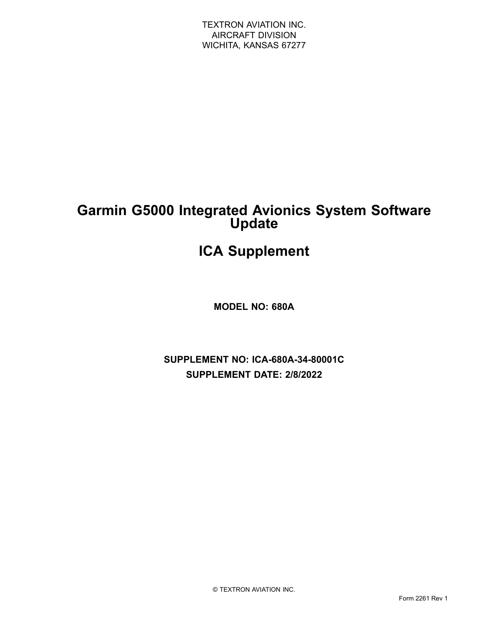### **Garmin G5000 Integrated Avionics System Software Update**

## **ICA Supplement**

**MODEL NO: 680A**

**SUPPLEMENT NO: ICA-680A-34-80001C SUPPLEMENT DATE: 2/8/2022**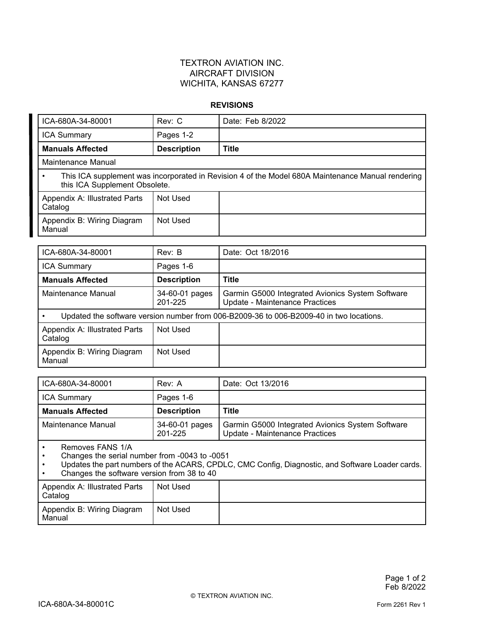#### **REVISIONS**

| ICA-680A-34-80001                                                                                                                  | Rev: C             | Date: Feb 8/2022 |  |  |
|------------------------------------------------------------------------------------------------------------------------------------|--------------------|------------------|--|--|
| <b>ICA Summary</b>                                                                                                                 | Pages 1-2          |                  |  |  |
| <b>Manuals Affected</b>                                                                                                            | <b>Description</b> | <b>Title</b>     |  |  |
| Maintenance Manual                                                                                                                 |                    |                  |  |  |
| This ICA supplement was incorporated in Revision 4 of the Model 680A Maintenance Manual rendering<br>this ICA Supplement Obsolete. |                    |                  |  |  |
| Appendix A: Illustrated Parts<br>Catalog                                                                                           | Not Used           |                  |  |  |
| Appendix B: Wiring Diagram<br>Manual                                                                                               | Not Used           |                  |  |  |

| ICA-680A-34-80001                                                                       | Rev: B                    | Date: Oct 18/2016                                                                  |
|-----------------------------------------------------------------------------------------|---------------------------|------------------------------------------------------------------------------------|
| <b>ICA Summary</b>                                                                      | Pages 1-6                 |                                                                                    |
| <b>Manuals Affected</b>                                                                 | <b>Description</b>        | <b>Title</b>                                                                       |
| Maintenance Manual                                                                      | 34-60-01 pages<br>201-225 | Garmin G5000 Integrated Avionics System Software<br>Update - Maintenance Practices |
| Updated the software version number from 006-B2009-36 to 006-B2009-40 in two locations. |                           |                                                                                    |
| Appendix A: Illustrated Parts<br>Catalog                                                | Not Used                  |                                                                                    |
| Appendix B: Wiring Diagram<br>Manual                                                    | Not Used                  |                                                                                    |

| ICA-680A-34-80001          | Rev: A                    | Date: Oct 13/2016                                                                  |
|----------------------------|---------------------------|------------------------------------------------------------------------------------|
| <b>ICA Summary</b>         | Pages 1-6                 |                                                                                    |
| <b>Manuals Affected</b>    | <b>Description</b>        | Title                                                                              |
| Maintenance Manual         | 34-60-01 pages<br>201-225 | Garmin G5000 Integrated Avionics System Software<br>Update - Maintenance Practices |
| $-11011$<br>$\blacksquare$ |                           |                                                                                    |

•Removes FANS 1/A

•Changes the serial number from -0043 to -0051

• Updates the part numbers of the ACARS, CPDLC, CMC Config, Diagnostic, and Software Loader cards. •Changes the software version from 38 to 40

| Appendix A: Illustrated Parts<br>Catalog | Not Used |  |
|------------------------------------------|----------|--|
| Appendix B: Wiring Diagram<br>Manual     | Not Used |  |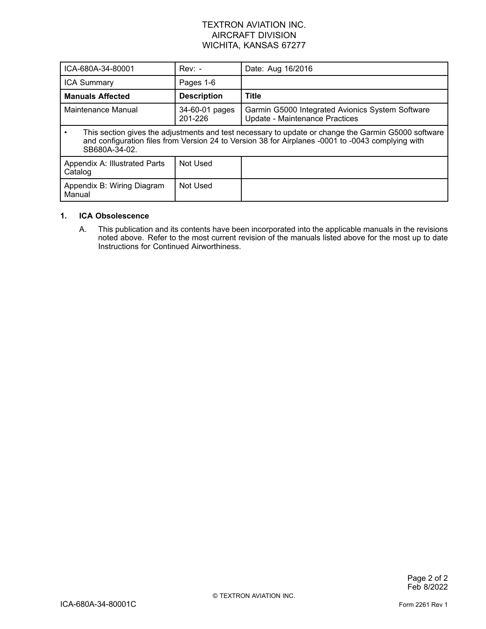| ICA-680A-34-80001                                                                                                                                                                                                         | $Rev: -$                  | Date: Aug 16/2016                                                                  |
|---------------------------------------------------------------------------------------------------------------------------------------------------------------------------------------------------------------------------|---------------------------|------------------------------------------------------------------------------------|
| <b>ICA Summary</b>                                                                                                                                                                                                        | Pages 1-6                 |                                                                                    |
| <b>Manuals Affected</b>                                                                                                                                                                                                   | <b>Description</b>        | <b>Title</b>                                                                       |
| Maintenance Manual                                                                                                                                                                                                        | 34-60-01 pages<br>201-226 | Garmin G5000 Integrated Avionics System Software<br>Update - Maintenance Practices |
| This section gives the adjustments and test necessary to update or change the Garmin G5000 software<br>and configuration files from Version 24 to Version 38 for Airplanes -0001 to -0043 complying with<br>SB680A-34-02. |                           |                                                                                    |
| Appendix A: Illustrated Parts<br>Catalog                                                                                                                                                                                  | Not Used                  |                                                                                    |
| Appendix B: Wiring Diagram<br>Manual                                                                                                                                                                                      | Not Used                  |                                                                                    |

#### **1. ICA Obsolescence**

A. This publication and its contents have been incorporated into the applicable manuals in the revisions noted above. Refer to the most current revision of the manuals listed above for the most up to date Instructions for Continued Airworthiness.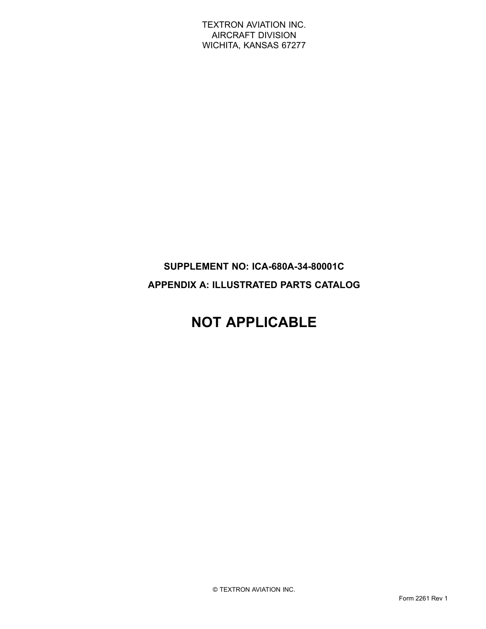### **SUPPLEMENT NO: ICA-680A-34-80001C APPENDIX A: ILLUSTRATED PARTS CATALOG**

# **NOT APPLICABLE**